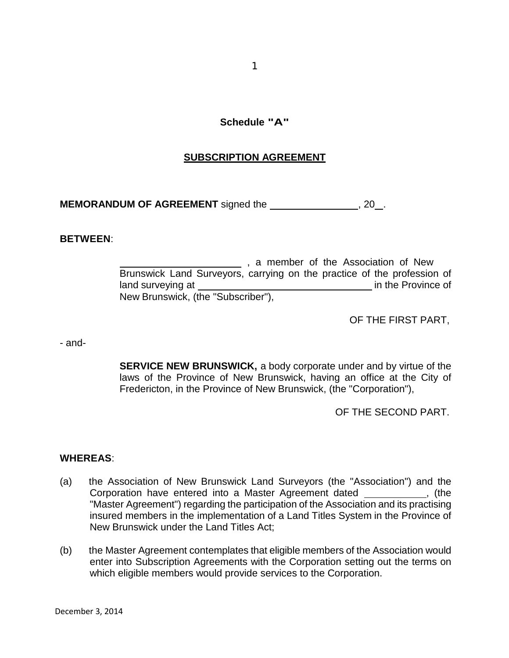## **Schedule "A"**

## **SUBSCRIPTION AGREEMENT**

**MEMORANDUM OF AGREEMENT** signed the *\_\_\_\_\_\_\_\_\_\_\_\_\_\_\_\_\_***, 20**.

### **BETWEEN**:

**Manual External 2018**, a member of the Association of New Brunswick Land Surveyors, carrying on the practice of the profession of land surveying at in the Province of New Brunswick, (the "Subscriber"),

OF THE FIRST PART,

- and-

**SERVICE NEW BRUNSWICK,** a body corporate under and by virtue of the laws of the Province of New Brunswick, having an office at the City of Fredericton, in the Province of New Brunswick, (the "Corporation"),

OF THE SECOND PART.

### **WHEREAS**:

- (a) the Association of New Brunswick Land Surveyors (the "Association") and the Corporation have entered into a Master Agreement dated \_\_\_\_\_\_\_\_\_\_\_, (the "Master Agreement") regarding the participation of the Association and its practising insured members in the implementation of a Land Titles System in the Province of New Brunswick under the Land Titles Act;
- (b) the Master Agreement contemplates that eligible members of the Association would enter into Subscription Agreements with the Corporation setting out the terms on which eligible members would provide services to the Corporation.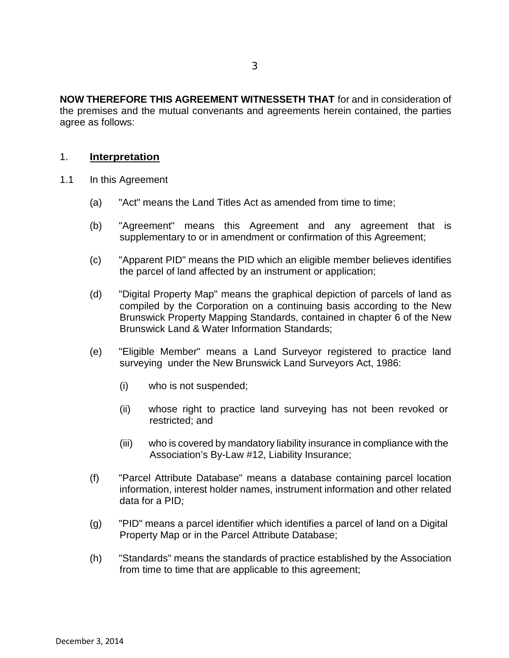**NOW THEREFORE THIS AGREEMENT WITNESSETH THAT** for and in consideration of the premises and the mutual convenants and agreements herein contained, the parties agree as follows:

### 1. **Interpretation**

- 1.1 In this Agreement
	- (a) "Act" means the Land Titles Act as amended from time to time;
	- (b) "Agreement" means this Agreement and any agreement that is supplementary to or in amendment or confirmation of this Agreement;
	- (c) "Apparent PID" means the PID which an eligible member believes identifies the parcel of land affected by an instrument or application;
	- (d) "Digital Property Map" means the graphical depiction of parcels of land as compiled by the Corporation on a continuing basis according to the New Brunswick Property Mapping Standards, contained in chapter 6 of the New Brunswick Land & Water Information Standards;
	- (e) "Eligible Member" means a Land Surveyor registered to practice land surveying under the New Brunswick Land Surveyors Act, 1986:
		- (i) who is not suspended;
		- (ii) whose right to practice land surveying has not been revoked or restricted; and
		- (iii) who is covered by mandatory liability insurance in compliance with the Association's By-Law #12, Liability Insurance;
	- (f) "Parcel Attribute Database" means a database containing parcel location information, interest holder names, instrument information and other related data for a PID;
	- (g) "PID" means a parcel identifier which identifies a parcel of land on a Digital Property Map or in the Parcel Attribute Database;
	- (h) "Standards" means the standards of practice established by the Association from time to time that are applicable to this agreement;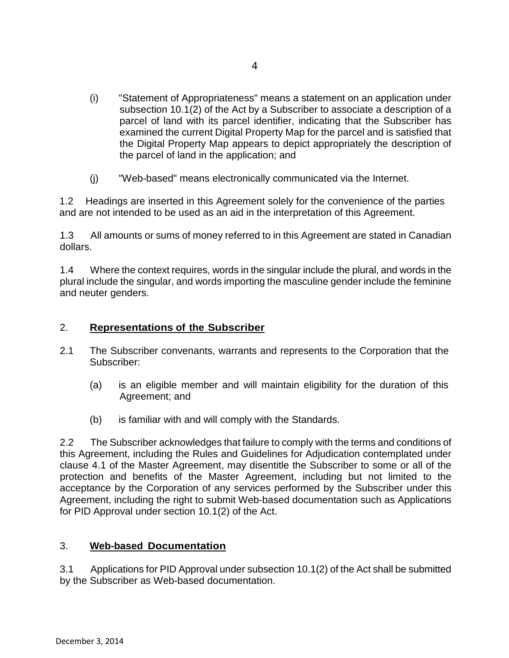- (i) "Statement of Appropriateness" means a statement on an application under subsection 10.1(2) of the Act by a Subscriber to associate a description of a parcel of land with its parcel identifier, indicating that the Subscriber has examined the current Digital Property Map for the parcel and is satisfied that the Digital Property Map appears to depict appropriately the description of the parcel of land in the application; and
- (j) "Web-based" means electronically communicated via the Internet.

1.2 Headings are inserted in this Agreement solely for the convenience of the parties and are not intended to be used as an aid in the interpretation of this Agreement.

1.3 All amounts or sums of money referred to in this Agreement are stated in Canadian dollars.

1.4 Where the context requires, words in the singular include the plural, and words in the plural include the singular, and words importing the masculine gender include the feminine and neuter genders.

## 2. **Representations of the Subscriber**

- 2.1 The Subscriber convenants, warrants and represents to the Corporation that the Subscriber:
	- (a) is an eligible member and will maintain eligibility for the duration of this Agreement; and
	- (b) is familiar with and will comply with the Standards.

2.2 The Subscriber acknowledges that failure to comply with the terms and conditions of this Agreement, including the Rules and Guidelines for Adjudication contemplated under clause 4.1 of the Master Agreement, may disentitle the Subscriber to some or all of the protection and benefits of the Master Agreement, including but not limited to the acceptance by the Corporation of any services performed by the Subscriber under this Agreement, including the right to submit Web-based documentation such as Applications for PID Approval under section 10.1(2) of the Act.

## 3. **Web-based Documentation**

3.1 Applications for PID Approval under subsection 10.1(2) of the Act shall be submitted by the Subscriber as Web-based documentation.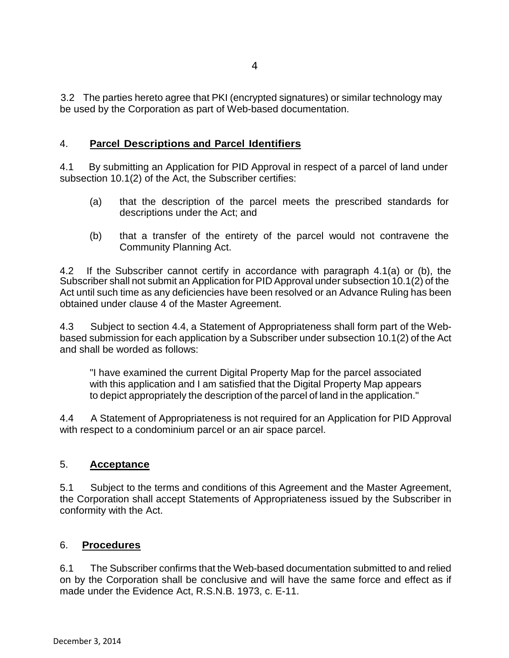3.2 The parties hereto agree that PKI (encrypted signatures) or similar technology may be used by the Corporation as part of Web-based documentation.

# 4. **Parcel Descriptions and Parcel Identifiers**

4.1 By submitting an Application for PID Approval in respect of a parcel of land under subsection 10.1(2) of the Act, the Subscriber certifies:

- (a) that the description of the parcel meets the prescribed standards for descriptions under the Act; and
- (b) that a transfer of the entirety of the parcel would not contravene the Community Planning Act.

4.2 If the Subscriber cannot certify in accordance with paragraph 4.1(a) or (b), the Subscriber shall not submit an Application for PID Approval under subsection 10.1(2) of the Act until such time as any deficiencies have been resolved or an Advance Ruling has been obtained under clause 4 of the Master Agreement.

4.3 Subject to section 4.4, a Statement of Appropriateness shall form part of the Webbased submission for each application by a Subscriber under subsection 10.1(2) of the Act and shall be worded as follows:

"I have examined the current Digital Property Map for the parcel associated with this application and I am satisfied that the Digital Property Map appears to depict appropriately the description of the parcel of land in the application."

4.4 A Statement of Appropriateness is not required for an Application for PID Approval with respect to a condominium parcel or an air space parcel.

## 5. **Acceptance**

5.1 Subject to the terms and conditions of this Agreement and the Master Agreement, the Corporation shall accept Statements of Appropriateness issued by the Subscriber in conformity with the Act.

## 6. **Procedures**

6.1 The Subscriber confirms that the Web-based documentation submitted to and relied on by the Corporation shall be conclusive and will have the same force and effect as if made under the Evidence Act, R.S.N.B. 1973, c. E-11.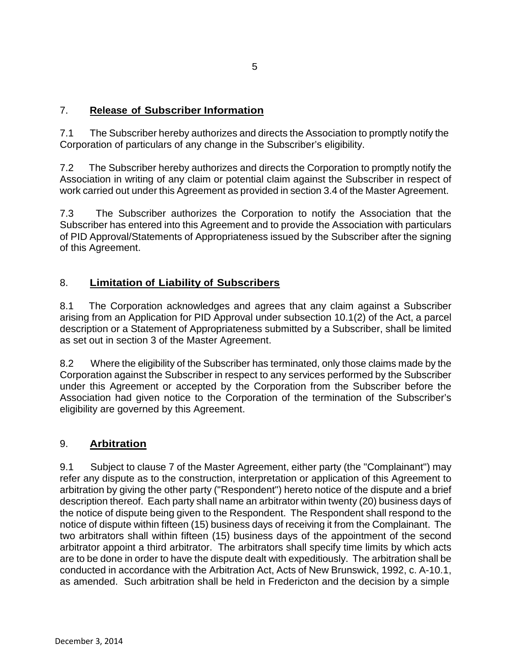# 7. **Release of Subscriber Information**

7.1 The Subscriber hereby authorizes and directs the Association to promptly notify the Corporation of particulars of any change in the Subscriber's eligibility.

7.2 The Subscriber hereby authorizes and directs the Corporation to promptly notify the Association in writing of any claim or potential claim against the Subscriber in respect of work carried out under this Agreement as provided in section 3.4 of the Master Agreement.

7.3 The Subscriber authorizes the Corporation to notify the Association that the Subscriber has entered into this Agreement and to provide the Association with particulars of PID Approval/Statements of Appropriateness issued by the Subscriber after the signing of this Agreement.

# 8. **Limitation of Liability of Subscribers**

8.1 The Corporation acknowledges and agrees that any claim against a Subscriber arising from an Application for PID Approval under subsection 10.1(2) of the Act, a parcel description or a Statement of Appropriateness submitted by a Subscriber, shall be limited as set out in section 3 of the Master Agreement.

8.2 Where the eligibility of the Subscriber has terminated, only those claims made by the Corporation against the Subscriber in respect to any services performed by the Subscriber under this Agreement or accepted by the Corporation from the Subscriber before the Association had given notice to the Corporation of the termination of the Subscriber's eligibility are governed by this Agreement.

# 9. **Arbitration**

9.1 Subject to clause 7 of the Master Agreement, either party (the "Complainant") may refer any dispute as to the construction, interpretation or application of this Agreement to arbitration by giving the other party ("Respondent") hereto notice of the dispute and a brief description thereof. Each party shall name an arbitrator within twenty (20) business days of the notice of dispute being given to the Respondent. The Respondent shall respond to the notice of dispute within fifteen (15) business days of receiving it from the Complainant. The two arbitrators shall within fifteen (15) business days of the appointment of the second arbitrator appoint a third arbitrator. The arbitrators shall specify time limits by which acts are to be done in order to have the dispute dealt with expeditiously. The arbitration shall be conducted in accordance with the Arbitration Act, Acts of New Brunswick, 1992, c. A-10.1, as amended. Such arbitration shall be held in Fredericton and the decision by a simple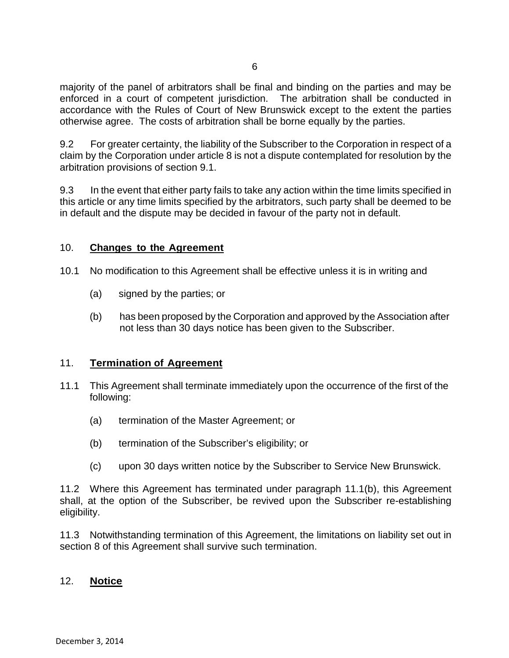majority of the panel of arbitrators shall be final and binding on the parties and may be enforced in a court of competent jurisdiction. The arbitration shall be conducted in accordance with the Rules of Court of New Brunswick except to the extent the parties otherwise agree. The costs of arbitration shall be borne equally by the parties.

9.2 For greater certainty, the liability of the Subscriber to the Corporation in respect of a claim by the Corporation under article 8 is not a dispute contemplated for resolution by the arbitration provisions of section 9.1.

9.3 In the event that either party fails to take any action within the time limits specified in this article or any time limits specified by the arbitrators, such party shall be deemed to be in default and the dispute may be decided in favour of the party not in default.

### 10. **Changes to the Agreement**

- 10.1 No modification to this Agreement shall be effective unless it is in writing and
	- (a) signed by the parties; or
	- (b) has been proposed by the Corporation and approved by the Association after not less than 30 days notice has been given to the Subscriber.

## 11. **Termination of Agreement**

- 11.1 This Agreement shall terminate immediately upon the occurrence of the first of the following:
	- (a) termination of the Master Agreement; or
	- (b) termination of the Subscriber's eligibility; or
	- (c) upon 30 days written notice by the Subscriber to Service New Brunswick.

11.2 Where this Agreement has terminated under paragraph 11.1(b), this Agreement shall, at the option of the Subscriber, be revived upon the Subscriber re-establishing eligibility.

11.3 Notwithstanding termination of this Agreement, the limitations on liability set out in section 8 of this Agreement shall survive such termination.

### 12. **Notice**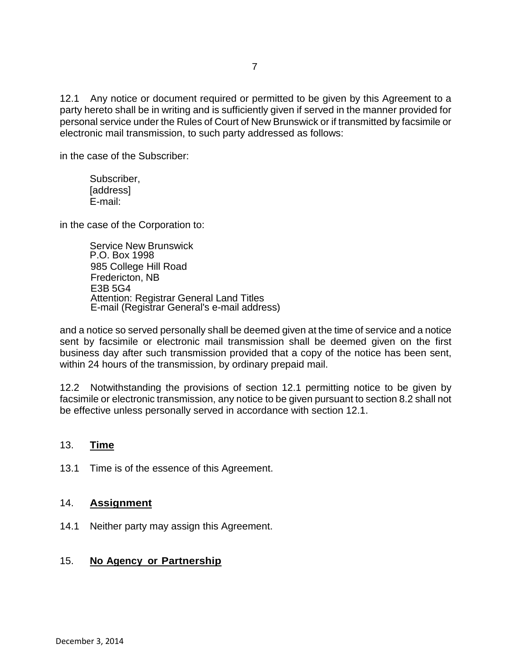12.1 Any notice or document required or permitted to be given by this Agreement to a party hereto shall be in writing and is sufficiently given if served in the manner provided for personal service under the Rules of Court of New Brunswick or if transmitted by facsimile or electronic mail transmission, to such party addressed as follows:

in the case of the Subscriber:

Subscriber, [address] E-mail:

in the case of the Corporation to:

Service New Brunswick P.O. Box 1998 985 College Hill Road Fredericton, NB E3B 5G4 Attention: Registrar General Land Titles E-mail (Registrar General's e-mail address)

and a notice so served personally shall be deemed given at the time of service and a notice sent by facsimile or electronic mail transmission shall be deemed given on the first business day after such transmission provided that a copy of the notice has been sent, within 24 hours of the transmission, by ordinary prepaid mail.

12.2 Notwithstanding the provisions of section 12.1 permitting notice to be given by facsimile or electronic transmission, any notice to be given pursuant to section 8.2 shall not be effective unless personally served in accordance with section 12.1.

## 13. **Time**

13.1 Time is of the essence of this Agreement.

### 14. **Assignment**

14.1 Neither party may assign this Agreement.

## 15. **No Agency or Partnership**